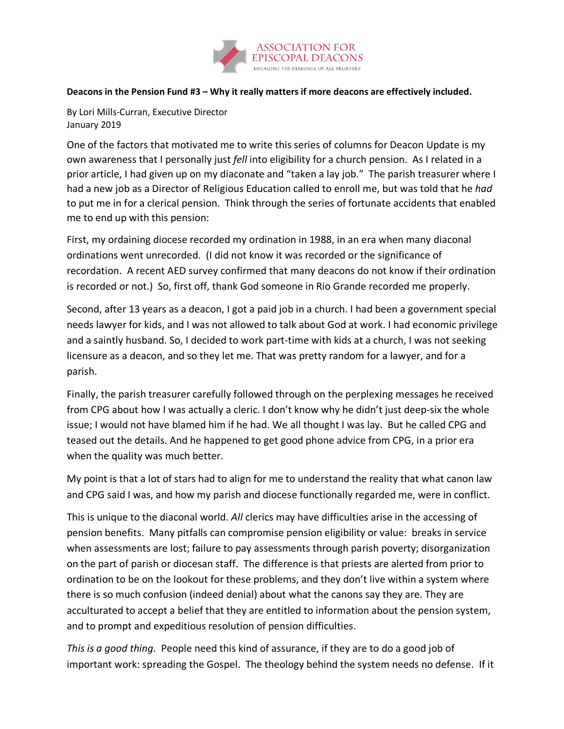

## **Deacons in the Pension Fund #3 – Why it really matters if more deacons are effectively included.**

By Lori Mills-Curran, Executive Director January 2019

One of the factors that motivated me to write this series of columns for Deacon Update is my own awareness that I personally just *fell* into eligibility for a church pension. As I related in a prior article, I had given up on my diaconate and "taken a lay job." The parish treasurer where I had a new job as a Director of Religious Education called to enroll me, but was told that he *had* to put me in for a clerical pension. Think through the series of fortunate accidents that enabled me to end up with this pension:

First, my ordaining diocese recorded my ordination in 1988, in an era when many diaconal ordinations went unrecorded. (I did not know it was recorded or the significance of recordation. A recent AED survey confirmed that many deacons do not know if their ordination is recorded or not.) So, first off, thank God someone in Rio Grande recorded me properly.

Second, after 13 years as a deacon, I got a paid job in a church. I had been a government special needs lawyer for kids, and I was not allowed to talk about God at work. I had economic privilege and a saintly husband. So, I decided to work part-time with kids at a church, I was not seeking licensure as a deacon, and so they let me. That was pretty random for a lawyer, and for a parish.

Finally, the parish treasurer carefully followed through on the perplexing messages he received from CPG about how I was actually a cleric. I don't know why he didn't just deep-six the whole issue; I would not have blamed him if he had. We all thought I was lay. But he called CPG and teased out the details. And he happened to get good phone advice from CPG, in a prior era when the quality was much better.

My point is that a lot of stars had to align for me to understand the reality that what canon law and CPG said I was, and how my parish and diocese functionally regarded me, were in conflict.

This is unique to the diaconal world. *All* clerics may have difficulties arise in the accessing of pension benefits. Many pitfalls can compromise pension eligibility or value: breaks in service when assessments are lost; failure to pay assessments through parish poverty; disorganization on the part of parish or diocesan staff. The difference is that priests are alerted from prior to ordination to be on the lookout for these problems, and they don't live within a system where there is so much confusion (indeed denial) about what the canons say they are. They are acculturated to accept a belief that they are entitled to information about the pension system, and to prompt and expeditious resolution of pension difficulties.

*This is a good thing.* People need this kind of assurance, if they are to do a good job of important work: spreading the Gospel. The theology behind the system needs no defense. If it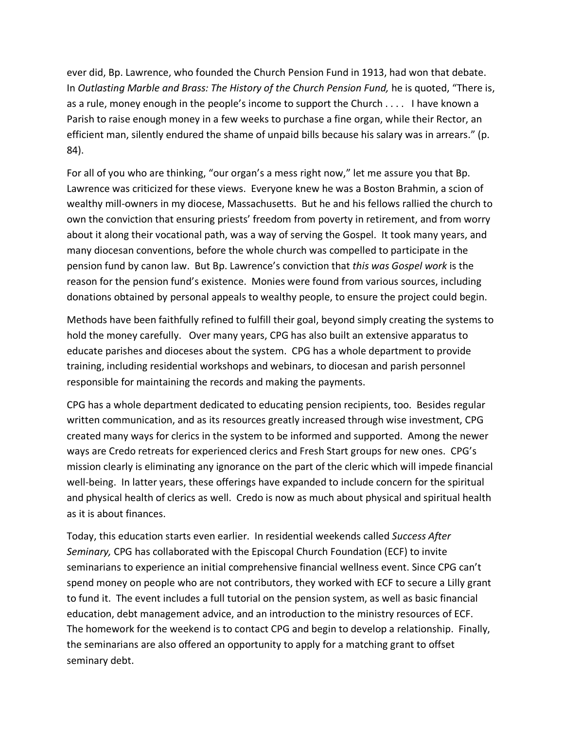ever did, Bp. Lawrence, who founded the Church Pension Fund in 1913, had won that debate. In *Outlasting Marble and Brass: The History of the Church Pension Fund,* he is quoted, "There is, as a rule, money enough in the people's income to support the Church . . . . I have known a Parish to raise enough money in a few weeks to purchase a fine organ, while their Rector, an efficient man, silently endured the shame of unpaid bills because his salary was in arrears." (p. 84).

For all of you who are thinking, "our organ's a mess right now," let me assure you that Bp. Lawrence was criticized for these views. Everyone knew he was a Boston Brahmin, a scion of wealthy mill-owners in my diocese, Massachusetts. But he and his fellows rallied the church to own the conviction that ensuring priests' freedom from poverty in retirement, and from worry about it along their vocational path, was a way of serving the Gospel. It took many years, and many diocesan conventions, before the whole church was compelled to participate in the pension fund by canon law. But Bp. Lawrence's conviction that *this was Gospel work* is the reason for the pension fund's existence. Monies were found from various sources, including donations obtained by personal appeals to wealthy people, to ensure the project could begin.

Methods have been faithfully refined to fulfill their goal, beyond simply creating the systems to hold the money carefully. Over many years, CPG has also built an extensive apparatus to educate parishes and dioceses about the system. CPG has a whole department to provide training, including residential workshops and webinars, to diocesan and parish personnel responsible for maintaining the records and making the payments.

CPG has a whole department dedicated to educating pension recipients, too. Besides regular written communication, and as its resources greatly increased through wise investment, CPG created many ways for clerics in the system to be informed and supported. Among the newer ways are Credo retreats for experienced clerics and Fresh Start groups for new ones. CPG's mission clearly is eliminating any ignorance on the part of the cleric which will impede financial well-being. In latter years, these offerings have expanded to include concern for the spiritual and physical health of clerics as well. Credo is now as much about physical and spiritual health as it is about finances.

Today, this education starts even earlier. In residential weekends called *Success After Seminary,* CPG has collaborated with the Episcopal Church Foundation (ECF) to invite seminarians to experience an initial comprehensive financial wellness event. Since CPG can't spend money on people who are not contributors, they worked with ECF to secure a Lilly grant to fund it. The event includes a full tutorial on the pension system, as well as basic financial education, debt management advice, and an introduction to the ministry resources of ECF. The homework for the weekend is to contact CPG and begin to develop a relationship. Finally, the seminarians are also offered an opportunity to apply for a matching grant to offset seminary debt.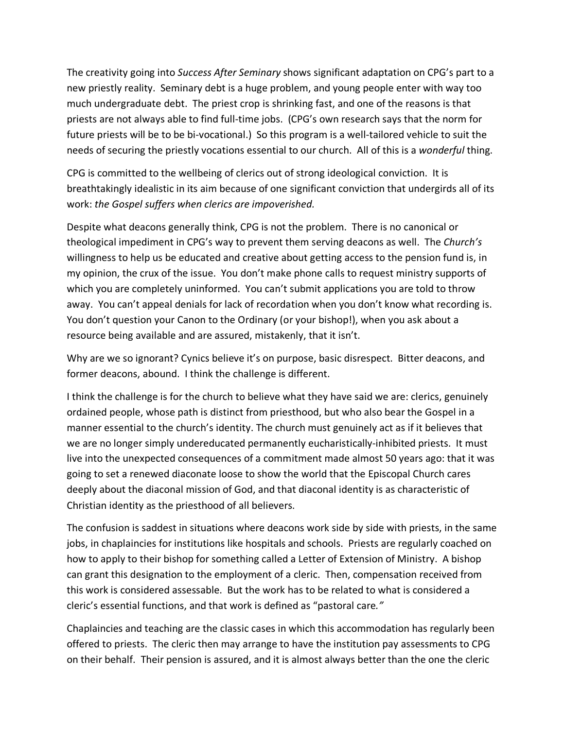The creativity going into *Success After Seminary* shows significant adaptation on CPG's part to a new priestly reality. Seminary debt is a huge problem, and young people enter with way too much undergraduate debt. The priest crop is shrinking fast, and one of the reasons is that priests are not always able to find full-time jobs. (CPG's own research says that the norm for future priests will be to be bi-vocational.) So this program is a well-tailored vehicle to suit the needs of securing the priestly vocations essential to our church. All of this is a *wonderful* thing.

CPG is committed to the wellbeing of clerics out of strong ideological conviction. It is breathtakingly idealistic in its aim because of one significant conviction that undergirds all of its work: *the Gospel suffers when clerics are impoverished.* 

Despite what deacons generally think, CPG is not the problem. There is no canonical or theological impediment in CPG's way to prevent them serving deacons as well. The *Church's*  willingness to help us be educated and creative about getting access to the pension fund is, in my opinion, the crux of the issue. You don't make phone calls to request ministry supports of which you are completely uninformed. You can't submit applications you are told to throw away. You can't appeal denials for lack of recordation when you don't know what recording is. You don't question your Canon to the Ordinary (or your bishop!), when you ask about a resource being available and are assured, mistakenly, that it isn't.

Why are we so ignorant? Cynics believe it's on purpose, basic disrespect. Bitter deacons, and former deacons, abound. I think the challenge is different.

I think the challenge is for the church to believe what they have said we are: clerics, genuinely ordained people, whose path is distinct from priesthood, but who also bear the Gospel in a manner essential to the church's identity. The church must genuinely act as if it believes that we are no longer simply undereducated permanently eucharistically-inhibited priests. It must live into the unexpected consequences of a commitment made almost 50 years ago: that it was going to set a renewed diaconate loose to show the world that the Episcopal Church cares deeply about the diaconal mission of God, and that diaconal identity is as characteristic of Christian identity as the priesthood of all believers.

The confusion is saddest in situations where deacons work side by side with priests, in the same jobs, in chaplaincies for institutions like hospitals and schools. Priests are regularly coached on how to apply to their bishop for something called a Letter of Extension of Ministry. A bishop can grant this designation to the employment of a cleric. Then, compensation received from this work is considered assessable. But the work has to be related to what is considered a cleric's essential functions, and that work is defined as "pastoral care*."*

Chaplaincies and teaching are the classic cases in which this accommodation has regularly been offered to priests. The cleric then may arrange to have the institution pay assessments to CPG on their behalf. Their pension is assured, and it is almost always better than the one the cleric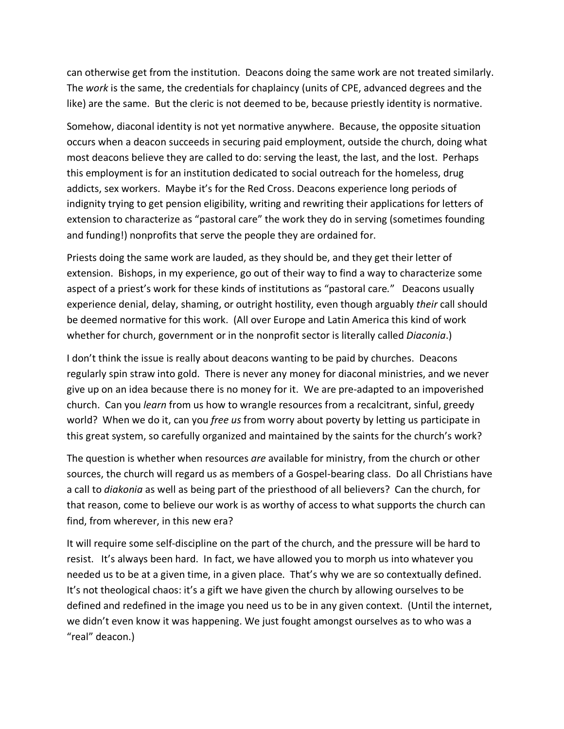can otherwise get from the institution. Deacons doing the same work are not treated similarly. The *work* is the same, the credentials for chaplaincy (units of CPE, advanced degrees and the like) are the same. But the cleric is not deemed to be, because priestly identity is normative.

Somehow, diaconal identity is not yet normative anywhere. Because, the opposite situation occurs when a deacon succeeds in securing paid employment, outside the church, doing what most deacons believe they are called to do: serving the least, the last, and the lost. Perhaps this employment is for an institution dedicated to social outreach for the homeless, drug addicts, sex workers. Maybe it's for the Red Cross. Deacons experience long periods of indignity trying to get pension eligibility, writing and rewriting their applications for letters of extension to characterize as "pastoral care" the work they do in serving (sometimes founding and funding!) nonprofits that serve the people they are ordained for.

Priests doing the same work are lauded, as they should be, and they get their letter of extension. Bishops, in my experience, go out of their way to find a way to characterize some aspect of a priest's work for these kinds of institutions as "pastoral care*.*" Deacons usually experience denial, delay, shaming, or outright hostility, even though arguably *their* call should be deemed normative for this work. (All over Europe and Latin America this kind of work whether for church, government or in the nonprofit sector is literally called *Diaconia*.)

I don't think the issue is really about deacons wanting to be paid by churches. Deacons regularly spin straw into gold. There is never any money for diaconal ministries, and we never give up on an idea because there is no money for it. We are pre-adapted to an impoverished church. Can you *learn* from us how to wrangle resources from a recalcitrant, sinful, greedy world? When we do it, can you *free us* from worry about poverty by letting us participate in this great system, so carefully organized and maintained by the saints for the church's work?

The question is whether when resources *are* available for ministry, from the church or other sources, the church will regard us as members of a Gospel-bearing class. Do all Christians have a call to *diakonia* as well as being part of the priesthood of all believers? Can the church, for that reason, come to believe our work is as worthy of access to what supports the church can find, from wherever, in this new era?

It will require some self-discipline on the part of the church, and the pressure will be hard to resist. It's always been hard. In fact, we have allowed you to morph us into whatever you needed us to be at a given time, in a given place. That's why we are so contextually defined. It's not theological chaos: it's a gift we have given the church by allowing ourselves to be defined and redefined in the image you need us to be in any given context. (Until the internet, we didn't even know it was happening. We just fought amongst ourselves as to who was a "real" deacon.)